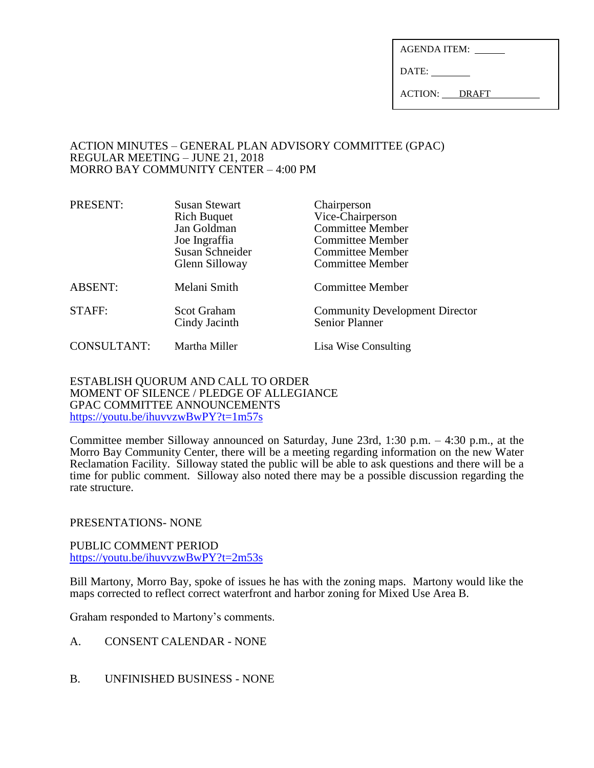| <b>AGENDA ITEM:</b> |  |
|---------------------|--|
|                     |  |

DATE:

ACTION: DRAFT

### ACTION MINUTES – GENERAL PLAN ADVISORY COMMITTEE (GPAC) REGULAR MEETING – JUNE 21, 2018 MORRO BAY COMMUNITY CENTER – 4:00 PM

| PRESENT:       | <b>Susan Stewart</b><br><b>Rich Buquet</b><br>Jan Goldman<br>Joe Ingraffia<br>Susan Schneider<br>Glenn Silloway | Chairperson<br>Vice-Chairperson<br><b>Committee Member</b><br><b>Committee Member</b><br><b>Committee Member</b><br><b>Committee Member</b> |
|----------------|-----------------------------------------------------------------------------------------------------------------|---------------------------------------------------------------------------------------------------------------------------------------------|
| <b>ABSENT:</b> | Melani Smith                                                                                                    | <b>Committee Member</b>                                                                                                                     |
| STAFF:         | <b>Scot Graham</b><br>Cindy Jacinth                                                                             | <b>Community Development Director</b><br><b>Senior Planner</b>                                                                              |
| CONSULTANT:    | Martha Miller                                                                                                   | Lisa Wise Consulting                                                                                                                        |

ESTABLISH QUORUM AND CALL TO ORDER MOMENT OF SILENCE / PLEDGE OF ALLEGIANCE GPAC COMMITTEE ANNOUNCEMENTS <https://youtu.be/ihuvvzwBwPY?t=1m57s>

Committee member Silloway announced on Saturday, June 23rd, 1:30 p.m. – 4:30 p.m., at the Morro Bay Community Center, there will be a meeting regarding information on the new Water Reclamation Facility. Silloway stated the public will be able to ask questions and there will be a time for public comment. Silloway also noted there may be a possible discussion regarding the rate structure.

PRESENTATIONS- NONE

PUBLIC COMMENT PERIOD <https://youtu.be/ihuvvzwBwPY?t=2m53s>

Bill Martony, Morro Bay, spoke of issues he has with the zoning maps. Martony would like the maps corrected to reflect correct waterfront and harbor zoning for Mixed Use Area B.

Graham responded to Martony's comments.

- A. CONSENT CALENDAR NONE
- B. UNFINISHED BUSINESS NONE